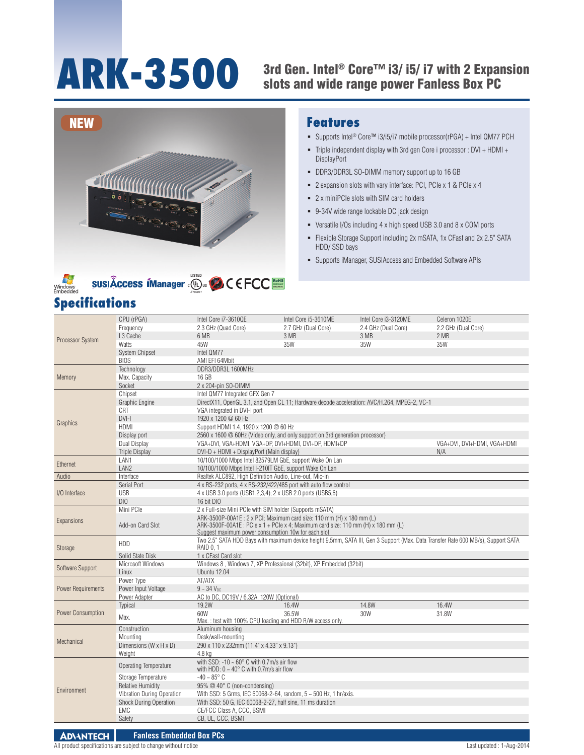### **ARK-3500** 3rd Gen. Intel® Core™ i3/ i5/ i7 with 2 Expansion<br>slots and wide range power Fanless Box PC slots and wide range power Fanless Box PC





# **Specifications**

## **Features**

- Supports Intel® Core™ i3/i5/i7 mobile processor(rPGA) + Intel QM77 PCH
- Triple independent display with 3rd gen Core i processor : DVI + HDMI + DisplayPort
- DDR3/DDR3L SO-DIMM memory support up to 16 GB
- 2 expansion slots with vary interface: PCI, PCIe x 1 & PCIe x 4
- 2 x miniPCIe slots with SIM card holders
- 9-34V wide range lockable DC jack design
- Versatile I/Os including 4 x high speed USB 3.0 and 8 x COM ports
- Flexible Storage Support including 2x mSATA, 1x CFast and 2x 2.5" SATA HDD/ SSD bays
- Supports iManager, SUSIAccess and Embedded Software APIs

|                           | CPU (rPGA)                    | Intel Core i7-3610QE                                                                                                                                                                     | Intel Core i5-3610ME                                               | Intel Core i3-3120ME | Celeron 1020E       |  |  |  |  |  |  |
|---------------------------|-------------------------------|------------------------------------------------------------------------------------------------------------------------------------------------------------------------------------------|--------------------------------------------------------------------|----------------------|---------------------|--|--|--|--|--|--|
| <b>Processor System</b>   | Frequency                     | 2.3 GHz (Quad Core)                                                                                                                                                                      | 2.7 GHz (Dual Core)                                                | 2.4 GHz (Dual Core)  | 2.2 GHz (Dual Core) |  |  |  |  |  |  |
|                           | L <sub>3</sub> Cache          | 6 MB                                                                                                                                                                                     | 3 MB                                                               | 3 MB                 | 2 MB                |  |  |  |  |  |  |
|                           | Watts                         | 45W                                                                                                                                                                                      | 35W                                                                | 35W                  | 35W                 |  |  |  |  |  |  |
|                           | <b>System Chipset</b>         | Intel QM77                                                                                                                                                                               |                                                                    |                      |                     |  |  |  |  |  |  |
|                           | <b>BIOS</b>                   | AMI EFI 64Mbit                                                                                                                                                                           |                                                                    |                      |                     |  |  |  |  |  |  |
|                           | Technology                    | DDR3/DDR3L 1600MHz                                                                                                                                                                       |                                                                    |                      |                     |  |  |  |  |  |  |
| Memory                    | Max. Capacity                 | 16 GB                                                                                                                                                                                    |                                                                    |                      |                     |  |  |  |  |  |  |
|                           | Socket                        | 2 x 204-pin SO-DIMM                                                                                                                                                                      |                                                                    |                      |                     |  |  |  |  |  |  |
|                           | Chipset                       | Intel QM77 Integrated GFX Gen 7                                                                                                                                                          |                                                                    |                      |                     |  |  |  |  |  |  |
|                           | Graphic Engine                | DirectX11, OpenGL 3.1, and Open CL 11; Hardware decode acceleration: AVC/H.264, MPEG-2, VC-1                                                                                             |                                                                    |                      |                     |  |  |  |  |  |  |
|                           | CRT                           | VGA integrated in DVI-I port                                                                                                                                                             |                                                                    |                      |                     |  |  |  |  |  |  |
|                           | $DVI-I$                       | 1920 x 1200 @ 60 Hz                                                                                                                                                                      |                                                                    |                      |                     |  |  |  |  |  |  |
| Graphics                  | <b>HDMI</b>                   | Support HDMI 1.4, 1920 x 1200 @ 60 Hz                                                                                                                                                    |                                                                    |                      |                     |  |  |  |  |  |  |
|                           | Display port                  | 2560 x 1600 @ 60Hz (Video only, and only support on 3rd generation processor)                                                                                                            |                                                                    |                      |                     |  |  |  |  |  |  |
|                           | Dual Display                  | VGA+DVI, VGA+HDMI, VGA+DP, DVI+HDMI, DVI+DP, HDMI+DP                                                                                                                                     | VGA+DVI, DVI+HDMI, VGA+HDMI                                        |                      |                     |  |  |  |  |  |  |
|                           | <b>Triple Display</b>         | DVI-D + HDMI + DisplayPort (Main display)                                                                                                                                                | N/A                                                                |                      |                     |  |  |  |  |  |  |
|                           | LAN1                          |                                                                                                                                                                                          | 10/100/1000 Mbps Intel 82579LM GbE, support Wake On Lan            |                      |                     |  |  |  |  |  |  |
| Ethernet                  | LAN <sub>2</sub>              | 10/100/1000 Mbps Intel I-210IT GbE, support Wake On Lan                                                                                                                                  |                                                                    |                      |                     |  |  |  |  |  |  |
| Audio                     | Interface                     | Realtek ALC892, High Definition Audio, Line-out, Mic-in                                                                                                                                  |                                                                    |                      |                     |  |  |  |  |  |  |
|                           | Serial Port                   |                                                                                                                                                                                          | 4 x RS-232 ports, 4 x RS-232/422/485 port with auto flow control   |                      |                     |  |  |  |  |  |  |
| I/O Interface             | <b>USB</b>                    | 4 x USB 3.0 ports (USB1,2,3,4); 2 x USB 2.0 ports (USB5,6)                                                                                                                               |                                                                    |                      |                     |  |  |  |  |  |  |
|                           | DI <sub>0</sub>               | 16 bit DIO                                                                                                                                                                               |                                                                    |                      |                     |  |  |  |  |  |  |
|                           | Mini PCle                     | 2 x Full-size Mini PCIe with SIM holder (Supports mSATA)                                                                                                                                 |                                                                    |                      |                     |  |  |  |  |  |  |
| Expansions                |                               | ARK-3500P-00A1E: 2 x PCI; Maximum card size: 110 mm (H) x 180 mm (L)                                                                                                                     |                                                                    |                      |                     |  |  |  |  |  |  |
|                           | Add-on Card Slot              | ARK-3500F-00A1E: PCIe x 1 + PCIe x 4; Maximum card size: 110 mm (H) x 180 mm (L)                                                                                                         |                                                                    |                      |                     |  |  |  |  |  |  |
|                           |                               | Suggest maximum power consumption 10w for each slot<br>Two 2.5" SATA HDD Bays with maximum device height 9.5mm, SATA III, Gen 3 Support (Max. Data Transfer Rate 600 MB/s), Support SATA |                                                                    |                      |                     |  |  |  |  |  |  |
| Storage                   | HDD                           | <b>RAID 0.1</b>                                                                                                                                                                          |                                                                    |                      |                     |  |  |  |  |  |  |
|                           | Solid State Disk              | 1 x CFast Card slot                                                                                                                                                                      |                                                                    |                      |                     |  |  |  |  |  |  |
|                           | Microsoft Windows             |                                                                                                                                                                                          | Windows 8, Windows 7, XP Professional (32bit), XP Embedded (32bit) |                      |                     |  |  |  |  |  |  |
| Software Support          | Linux                         | Ubuntu 12.04                                                                                                                                                                             |                                                                    |                      |                     |  |  |  |  |  |  |
|                           | Power Type                    | AT/ATX                                                                                                                                                                                   |                                                                    |                      |                     |  |  |  |  |  |  |
| <b>Power Requirements</b> | Power Input Voltage           | $9 - 34$ V <sub>nc</sub>                                                                                                                                                                 |                                                                    |                      |                     |  |  |  |  |  |  |
|                           | Power Adapter                 | AC to DC, DC19V / 6.32A, 120W (Optional)                                                                                                                                                 |                                                                    |                      |                     |  |  |  |  |  |  |
|                           | Typical                       | 19.2W                                                                                                                                                                                    | 16.4W                                                              | 14.8W                | 16.4W               |  |  |  |  |  |  |
| <b>Power Consumption</b>  | Max.                          | 60W                                                                                                                                                                                      | 36.5W                                                              | 30W                  | 31.8W               |  |  |  |  |  |  |
|                           |                               |                                                                                                                                                                                          | Max.: test with 100% CPU loading and HDD R/W access only.          |                      |                     |  |  |  |  |  |  |
|                           | Construction                  | Aluminum housing                                                                                                                                                                         |                                                                    |                      |                     |  |  |  |  |  |  |
| Mechanical                | Mountina                      | Desk/wall-mounting                                                                                                                                                                       |                                                                    |                      |                     |  |  |  |  |  |  |
|                           | Dimensions (W x H x D)        | 290 x 110 x 232mm (11.4" x 4.33" x 9.13")                                                                                                                                                |                                                                    |                      |                     |  |  |  |  |  |  |
|                           | Weight                        | 4.8 kg                                                                                                                                                                                   |                                                                    |                      |                     |  |  |  |  |  |  |
|                           | <b>Operating Temperature</b>  | with SSD: -10 $\sim$ 60 $^{\circ}$ C with 0.7m/s air flow<br>with HDD: $0 \sim 40^\circ$ C with 0.7m/s air flow                                                                          |                                                                    |                      |                     |  |  |  |  |  |  |
|                           |                               |                                                                                                                                                                                          |                                                                    |                      |                     |  |  |  |  |  |  |
|                           |                               |                                                                                                                                                                                          |                                                                    |                      |                     |  |  |  |  |  |  |
|                           | Storage Temperature           | $-40 - 85^{\circ}$ C                                                                                                                                                                     |                                                                    |                      |                     |  |  |  |  |  |  |
| Environment               | <b>Relative Humidity</b>      | 95% @ 40° C (non-condensing)                                                                                                                                                             |                                                                    |                      |                     |  |  |  |  |  |  |
|                           | Vibration During Operation    |                                                                                                                                                                                          | With SSD: 5 Grms, IEC 60068-2-64, random, 5 ~ 500 Hz, 1 hr/axis.   |                      |                     |  |  |  |  |  |  |
|                           | <b>Shock During Operation</b> | With SSD: 50 G, IEC 60068-2-27, half sine, 11 ms duration                                                                                                                                |                                                                    |                      |                     |  |  |  |  |  |  |
|                           | <b>EMC</b><br>Safety          | CE/FCC Class A, CCC, BSMI<br>CB, UL, CCC, BSMI                                                                                                                                           |                                                                    |                      |                     |  |  |  |  |  |  |